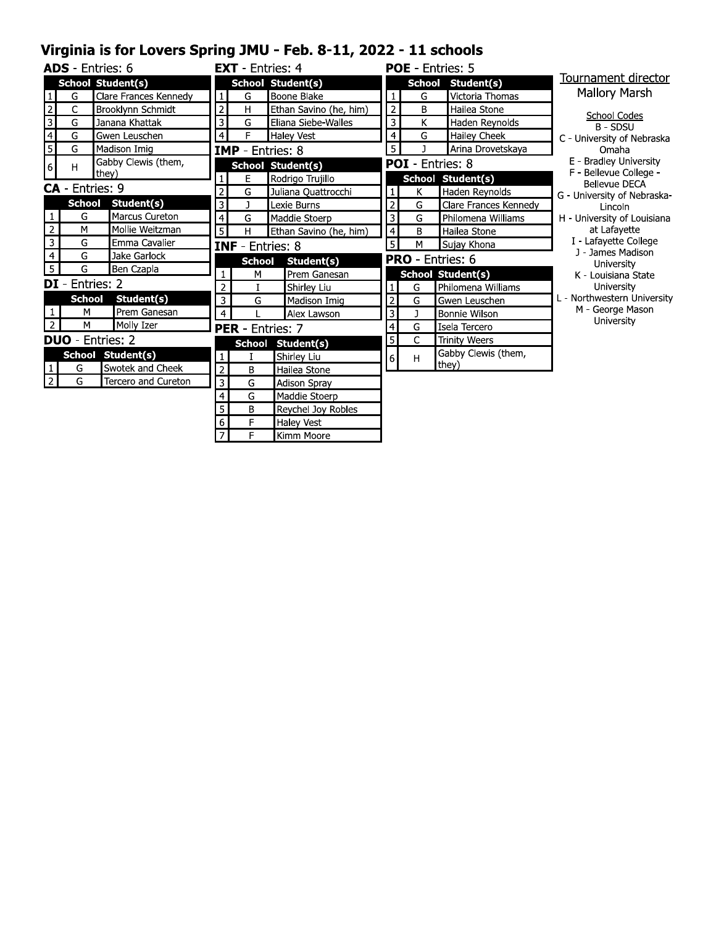## Virginia is for Lovers Spring JMU - Feb. 8-11, 2022 - 11 schools

|                         |               | <b>ADS</b> - Entries: 6  |                  | <b>EXT</b> - Entries: 4 |                          |                         |               | <b>POE</b> - Entries: 5  |                                                |
|-------------------------|---------------|--------------------------|------------------|-------------------------|--------------------------|-------------------------|---------------|--------------------------|------------------------------------------------|
|                         |               | <b>School Student(s)</b> |                  |                         | <b>School Student(s)</b> |                         | <b>School</b> | Student(s)               | Tournament director                            |
| $\mathbf{1}$            | G             | Clare Frances Kennedy    | $\mathbf{1}$     | G                       | Boone Blake              | $\mathbf{1}$            | G             | Victoria Thomas          | <b>Mallory Marsh</b>                           |
| $\mathbf 2$             | C             | Brooklynn Schmidt        | $\overline{2}$   | H                       | Ethan Savino (he, him)   | $\mathbf 2$             | B             | Hailea Stone             | School Codes                                   |
| $\overline{\mathbf{3}}$ | G             | Janana Khattak           | 3                | G                       | Eliana Siebe-Walles      | 3                       | K             | Haden Reynolds           | <b>B-SDSU</b>                                  |
| $\overline{4}$          | G             | Gwen Leuschen            | $\overline{a}$   | F                       | <b>Haley Vest</b>        | $\overline{4}$          | G             | Hailey Cheek             | C - University of Nebraska                     |
| 5                       | G             | Madison Imig             |                  | IMP -                   | Entries: 8               | 5                       | $\mathbf{I}$  | Arina Drovetskaya        | Omaha                                          |
| $\sqrt{6}$              | H             | Gabby Clewis (them,      |                  |                         | <b>School Student(s)</b> |                         |               | <b>POI</b> - Entries: 8  | E - Bradley University                         |
|                         |               | they)                    | $\mathbf{1}$     | E                       | Rodrigo Trujillo         |                         |               | School Student(s)        | F - Bellevue College -<br><b>Bellevue DECA</b> |
|                         |               | <b>CA</b> - Entries: 9   | $\overline{2}$   | G                       | Juliana Quattrocchi      | $\mathbf{1}$            | K             | Haden Reynolds           | G - University of Nebraska-                    |
|                         | <b>School</b> | Student(s)               | 3                | J                       | Lexie Burns              | $\overline{2}$          | G             | Clare Frances Kennedy    | Lincoln                                        |
|                         | G             | Marcus Cureton           | $\overline{4}$   | G                       | Maddie Stoerp            | 3                       | ${\mathsf G}$ | Philomena Williams       | H - University of Louisiana                    |
| $\overline{2}$          | M             | Mollie Weitzman          | 5                | Н                       | Ethan Savino (he, him)   | $\overline{\mathbf{4}}$ | B             | Hailea Stone             | at Lafayette                                   |
| $\overline{3}$          | G             | Emma Cavalier            |                  | <b>INF</b> - Entries: 8 |                          | $\overline{5}$          | M             | Sujay Khona              | I - Lafayette College                          |
| $\overline{4}$          | G             | Jake Garlock             |                  | <b>School</b>           | Student(s)               |                         |               | <b>PRO</b> - Entries: 6  | J - James Madison<br>University                |
| 5                       | G             | Ben Czapla               | $\mathbf{1}$     | M                       | Prem Ganesan             |                         |               | <b>School Student(s)</b> | K - Louisiana State                            |
|                         |               | <b>DI</b> - Entries: 2   | $\overline{2}$   |                         | Shirley Liu              | $\mathbf{1}$            | G             | Philomena Williams       | University                                     |
|                         | <b>School</b> | Student(s)               | $\overline{3}$   | G                       | Madison Imig             | $\overline{2}$          | G             | Gwen Leuschen            | L - Northwestern University                    |
| $\mathbf{1}$            | M             | Prem Ganesan             | $\overline{4}$   |                         | Alex Lawson              | 3                       | J             | <b>Bonnie Wilson</b>     | M - George Mason                               |
| $\overline{2}$          | M             | Molly Izer               |                  | PER - Entries: 7        |                          | 4                       | G             | Isela Tercero            | University                                     |
|                         |               | <b>DUO</b> - Entries: 2  |                  |                         | School Student(s)        | 5                       | C             | <b>Trinity Weers</b>     |                                                |
|                         |               | School Student(s)        | 1                |                         | Shirley Liu              | 6 <sup>1</sup>          | H             | Gabby Clewis (them,      |                                                |
|                         | G             | Swotek and Cheek         | $\overline{2}$   | B                       | Hailea Stone             |                         |               | they)                    |                                                |
| $\overline{2}$          | G             | Tercero and Cureton      | 3                | G                       | <b>Adison Spray</b>      |                         |               |                          |                                                |
|                         |               |                          | $\overline{a}$   | G                       | Maddie Stoerp            |                         |               |                          |                                                |
|                         |               |                          | 5                | B                       | Reychel Joy Robles       |                         |               |                          |                                                |
|                         |               |                          | $\boldsymbol{6}$ | F                       | <b>Haley Vest</b>        |                         |               |                          |                                                |
|                         |               |                          | $\overline{7}$   | F                       | Kimm Moore               |                         |               |                          |                                                |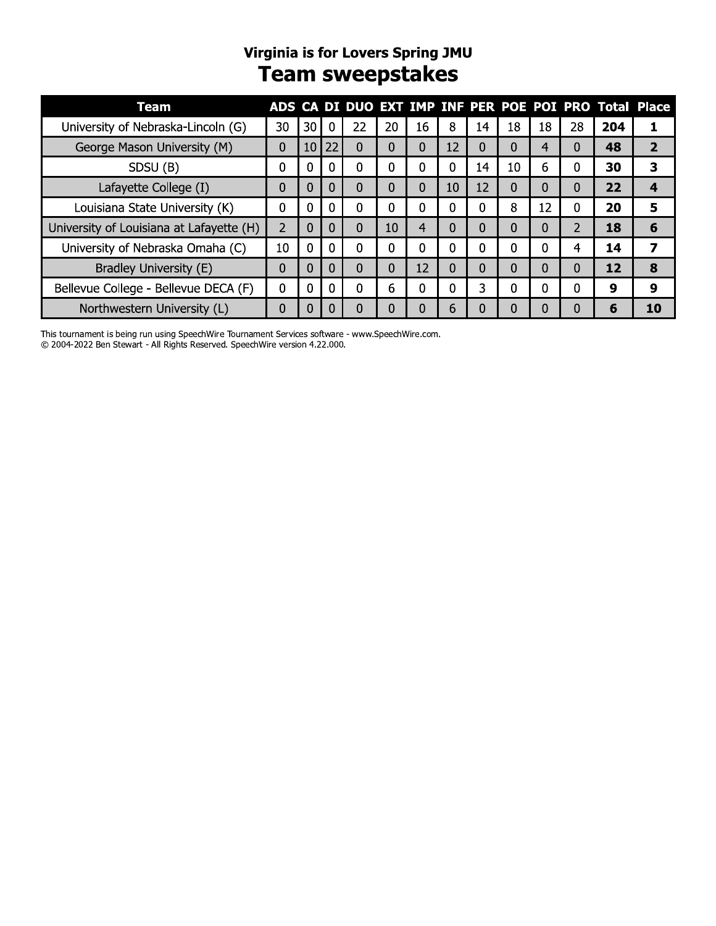# Virginia is for Lovers Spring JMU<br>Team sweepstakes

| Team                                     |    |                |    |          |          |    |          |          |    |    |    |     | ADS CA DI DUO EXT IMP INF PER POE POI PRO Total Place |
|------------------------------------------|----|----------------|----|----------|----------|----|----------|----------|----|----|----|-----|-------------------------------------------------------|
| University of Nebraska-Lincoln (G)       | 30 | 30             | 0  | 22       | 20       | 16 | 8        | 14       | 18 | 18 | 28 | 204 |                                                       |
| George Mason University (M)              | 0  | 10             | 22 | 0        | 0        | 0  | 12       | 0        | 0  |    |    | 48  | 2                                                     |
| SDSU (B)                                 | 0  | $\Omega$       | 0  | 0        | 0        | n  | 0        | 14       | 10 | 6  | N  | 30  | 3                                                     |
| Lafayette College (I)                    | 0  | 0              | 0  | 0        | 0        | 0  | 10       | 12       | 0  |    | N  | 22  | 4                                                     |
| Louisiana State University (K)           | 0  | 0              | 0  | 0        | $\Omega$ | 0  | 0        | 0        | 8  | 12 | O  | 20  | 5                                                     |
| University of Louisiana at Lafayette (H) | 2  | $\Omega$       | 0  | $\Omega$ | 10       | 4  | 0        | 0        | 0  |    |    | 18  | 6                                                     |
| University of Nebraska Omaha (C)         | 10 | $\overline{0}$ | 0  | 0        | 0        | 0  | 0        | 0        | 0  | 0  |    | 14  |                                                       |
| Bradley University (E)                   | 0  | 0              | 0  | 0        | 0        | 12 | $\Omega$ | $\Omega$ | 0  |    |    | 12  | 8                                                     |
| Bellevue College - Bellevue DECA (F)     | 0  | $\Omega$       | 0  | 0        | 6        |    | 0        | 3        | 0  |    |    | 9   | 9                                                     |
| Northwestern University (L)              | 0  | 0              | 0  | 0        |          |    | 6        | 0        | 0  |    |    | 6   | 10                                                    |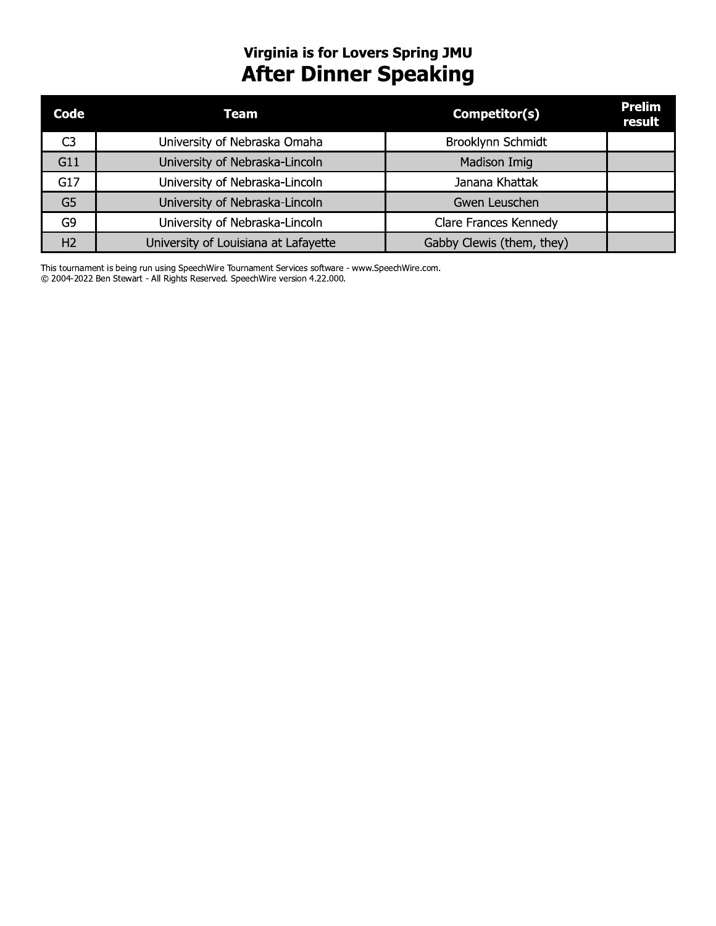# **Virginia is for Lovers Spring JMU<br>After Dinner Speaking**

| Code           | Team                                 | Competitor(s)             | <b>Prelim</b><br>result |
|----------------|--------------------------------------|---------------------------|-------------------------|
| C3             | University of Nebraska Omaha         | Brooklynn Schmidt         |                         |
| G11            | University of Nebraska-Lincoln       | Madison Imig              |                         |
| G17            | University of Nebraska-Lincoln       | Janana Khattak            |                         |
| G <sub>5</sub> | University of Nebraska-Lincoln       | Gwen Leuschen             |                         |
| G9             | University of Nebraska-Lincoln       | Clare Frances Kennedy     |                         |
| H <sub>2</sub> | University of Louisiana at Lafayette | Gabby Clewis (them, they) |                         |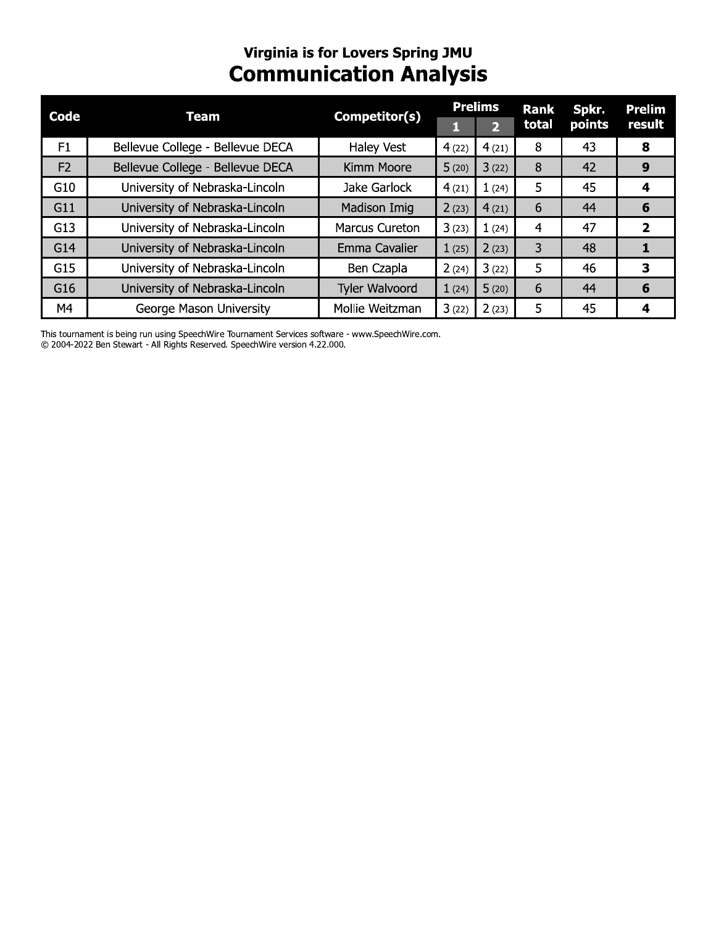# Virginia is for Lovers Spring JMU<br>Communication Analysis

| Code           | <b>Team</b>                      | Competitor(s)         | <b>Prelims</b> |                | <b>Rank</b>    | Spkr.  | <b>Prelim</b>  |  |
|----------------|----------------------------------|-----------------------|----------------|----------------|----------------|--------|----------------|--|
|                |                                  |                       |                | $\overline{2}$ | total          | points | result         |  |
| F <sub>1</sub> | Bellevue College - Bellevue DECA | <b>Haley Vest</b>     | 4(22)          | 4(21)          | 8              | 43     | 8              |  |
| F <sub>2</sub> | Bellevue College - Bellevue DECA | Kimm Moore            | 5(20)          | 3(22)          | 8              | 42     | 9              |  |
| G10            | University of Nebraska-Lincoln   | Jake Garlock          | 4(21)          | 1(24)          | 5              | 45     | 4              |  |
| G11            | University of Nebraska-Lincoln   | Madison Imig          | 2(23)          | 4(21)          | 6              | 44     | 6              |  |
| G13            | University of Nebraska-Lincoln   | <b>Marcus Cureton</b> | 3(23)          | 1(24)          | 4              | 47     | $\overline{2}$ |  |
| G14            | University of Nebraska-Lincoln   | Emma Cavalier         | 1(25)          | 2(23)          | $\overline{3}$ | 48     |                |  |
| G15            | University of Nebraska-Lincoln   | Ben Czapla            | 2(24)          | 3(22)          | 5              | 46     | 3              |  |
| G16            | University of Nebraska-Lincoln   | Tyler Walvoord        | 1(24)          | 5(20)          | 6              | 44     | 6              |  |
| M4             | George Mason University          | Mollie Weitzman       | 3(22)          | 2(23)          | 5              | 45     | 4              |  |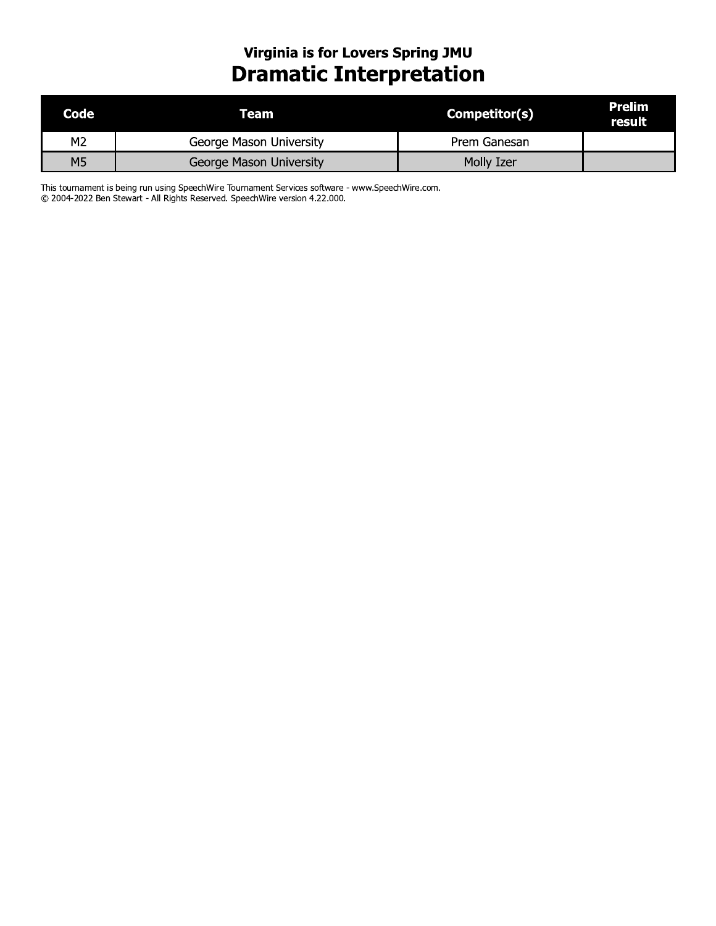# Virginia is for Lovers Spring JMU<br>Dramatic Interpretation

| Code           | Team                    | Competitor(s) | Prelim<br>result |
|----------------|-------------------------|---------------|------------------|
| M <sub>2</sub> | George Mason University | Prem Ganesan  |                  |
| М5             | George Mason University | Molly Izer    |                  |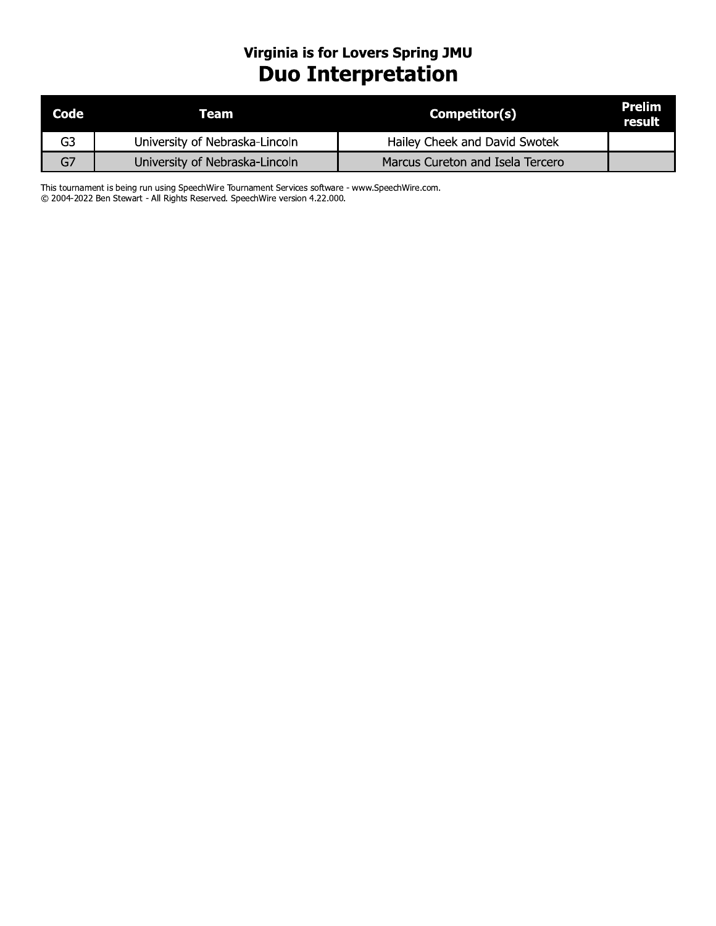# Virginia is for Lovers Spring JMU<br>Duo Interpretation

| Code | Team                           | Competitor(s)                    | Prelim<br>result |
|------|--------------------------------|----------------------------------|------------------|
| G3   | University of Nebraska-Lincoln | Hailey Cheek and David Swotek    |                  |
| G7   | University of Nebraska-Lincoln | Marcus Cureton and Isela Tercero |                  |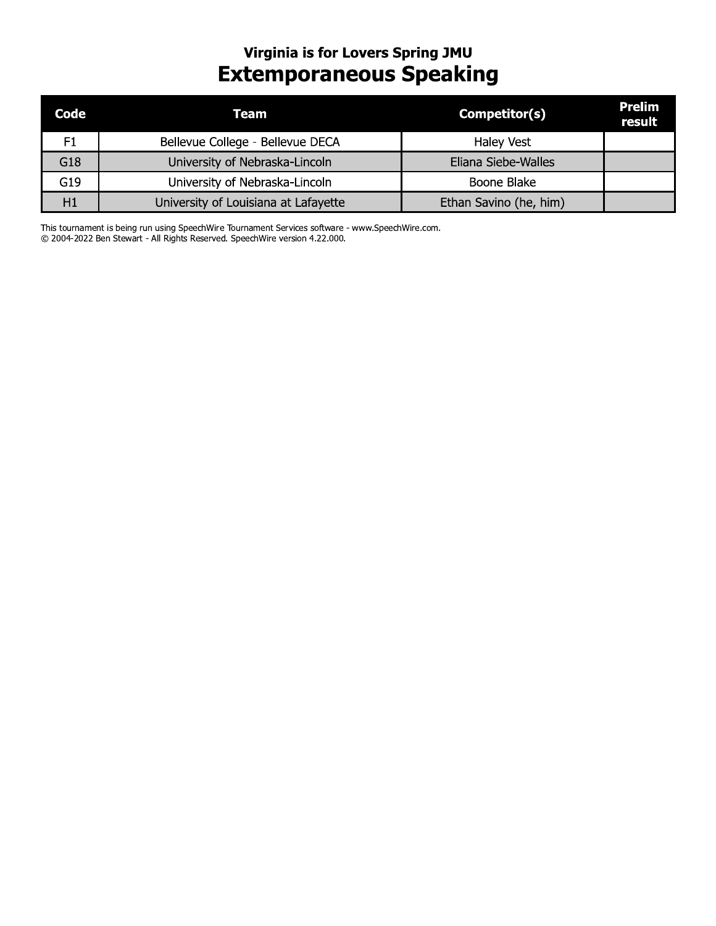# **Virginia is for Lovers Spring JMU Extemporaneous Speaking**

| Code | Team                                 | Competitor(s)          | Prelim<br>result |
|------|--------------------------------------|------------------------|------------------|
| F1   | Bellevue College - Bellevue DECA     | <b>Haley Vest</b>      |                  |
| G18  | University of Nebraska-Lincoln       | Eliana Siebe-Walles    |                  |
| G19  | University of Nebraska-Lincoln       | Boone Blake            |                  |
| H1   | University of Louisiana at Lafayette | Ethan Savino (he, him) |                  |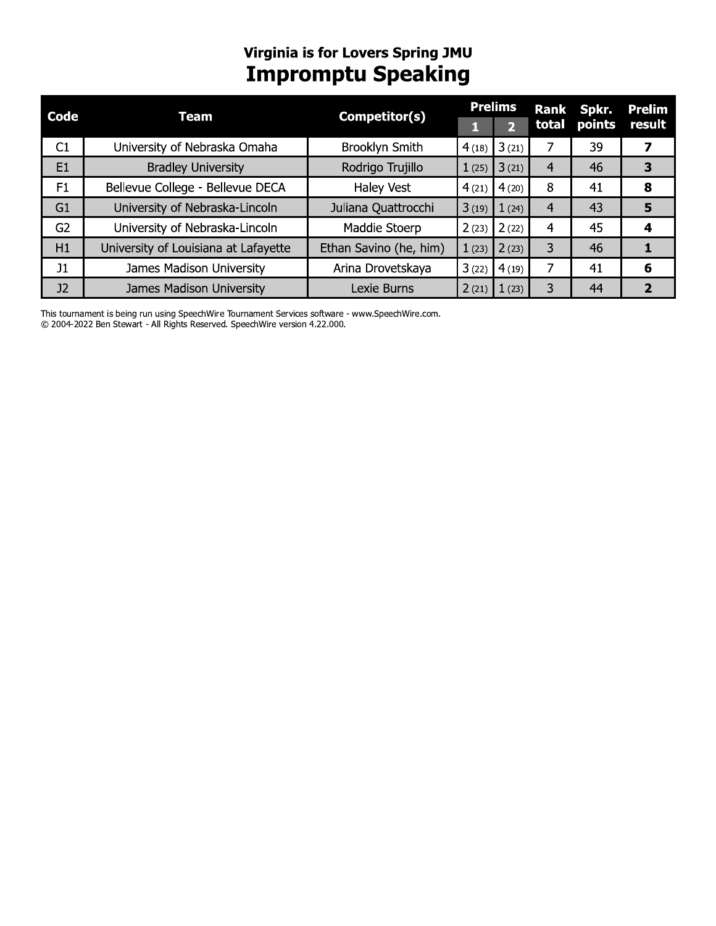# Virginia is for Lovers Spring JMU<br>Impromptu Speaking

| Code           | Team                                 | Competitor(s)          | <b>Prelims</b> |                       | <b>Rank</b>    | Spkr.  | <b>Prelim</b> |
|----------------|--------------------------------------|------------------------|----------------|-----------------------|----------------|--------|---------------|
|                |                                      |                        |                | $\boldsymbol{\Omega}$ | total          | points | result        |
| C1             | University of Nebraska Omaha         | Brooklyn Smith         | 4(18)          | 3(21)                 |                | 39     | 7             |
| E <sub>1</sub> | <b>Bradley University</b>            | Rodrigo Trujillo       | 1(25)          | 3(21)                 | 4              | 46     | 3             |
| F1             | Bellevue College - Bellevue DECA     | Haley Vest             | 4(21)          | 4(20)                 | 8              | 41     | 8             |
| G <sub>1</sub> | University of Nebraska-Lincoln       | Juliana Quattrocchi    | 3(19)          | 1(24)                 | $\overline{4}$ | 43     | 5             |
| G <sub>2</sub> | University of Nebraska-Lincoln       | Maddie Stoerp          | 2(23)          | 2(22)                 | 4              | 45     | 4             |
| H1             | University of Louisiana at Lafayette | Ethan Savino (he, him) | 1(23)          | 2(23)                 | 3              | 46     |               |
| J1             | James Madison University             | Arina Drovetskaya      | 3(22)          | 4(19)                 | 7              | 41     | 6             |
| J2             | James Madison University             | Lexie Burns            | 2(21)          | 1(23)                 | 3              | 44     | 2             |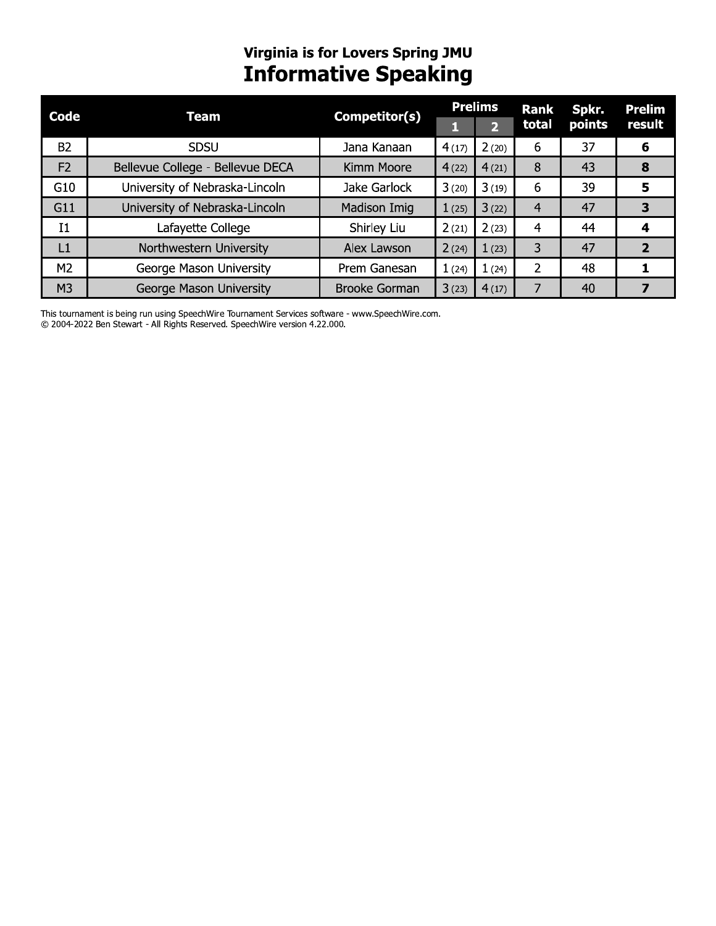# **Virginia is for Lovers Spring JMU<br>Informative Speaking**

| Code           | Team                             | Competitor(s)        | <b>Prelims</b> |              | <b>Rank</b>    | Spkr.  | <b>Prelim</b> |  |
|----------------|----------------------------------|----------------------|----------------|--------------|----------------|--------|---------------|--|
|                |                                  |                      |                | $\mathbf{Z}$ | total          | points | result        |  |
| <b>B2</b>      | <b>SDSU</b>                      | Jana Kanaan          | 4(17)          | 2(20)        | 6              | 37     | 6             |  |
| F <sub>2</sub> | Bellevue College - Bellevue DECA | Kimm Moore           | 4(22)          | 4(21)        | 8              | 43     | 8             |  |
| G10            | University of Nebraska-Lincoln   | Jake Garlock         | 3(20)          | 3(19)        | 6              | 39     | 5             |  |
| G11            | University of Nebraska-Lincoln   | Madison Imig         | 1(25)          | 3(22)        | $\overline{4}$ | 47     |               |  |
| I <sub>1</sub> | Lafayette College                | Shirley Liu          | 2(21)          | 2(23)        | 4              | 44     |               |  |
| L1             | Northwestern University          | Alex Lawson          | 2(24)          | 1(23)        | 3              | 47     | 2             |  |
| M <sub>2</sub> | George Mason University          | Prem Ganesan         | 1(24)          | 1(24)        | $\overline{2}$ | 48     |               |  |
| M <sub>3</sub> | George Mason University          | <b>Brooke Gorman</b> | 3(23)          | 4(17)        |                | 40     |               |  |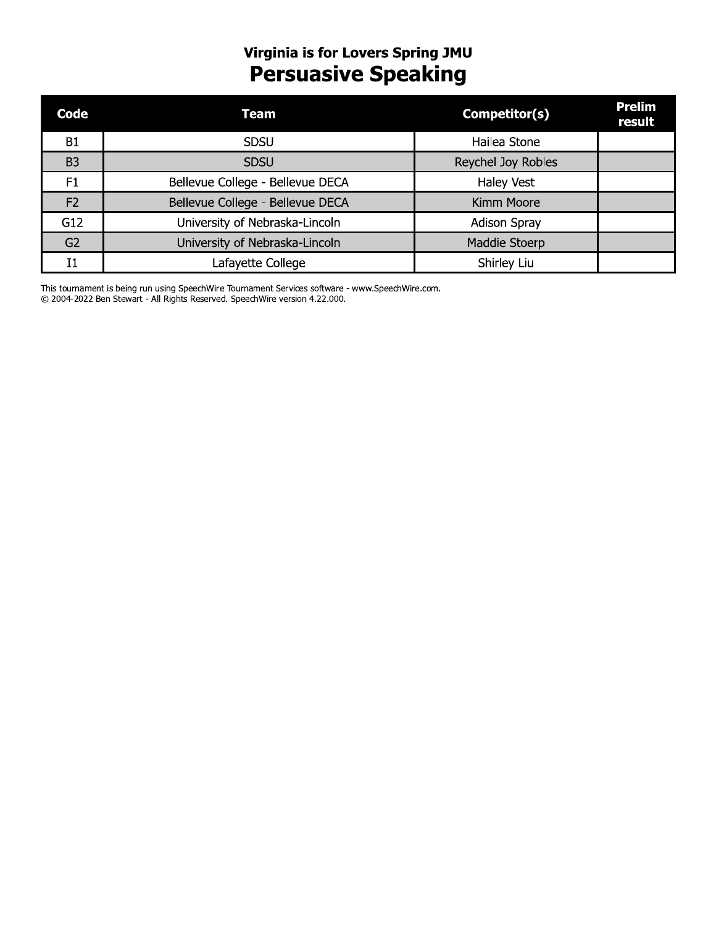# **Virginia is for Lovers Spring JMU<br>Persuasive Speaking**

| Code           | Team                             | Competitor(s)       | <b>Prelim</b><br>result |
|----------------|----------------------------------|---------------------|-------------------------|
| <b>B1</b>      | <b>SDSU</b>                      | Hailea Stone        |                         |
| B <sub>3</sub> | <b>SDSU</b>                      | Reychel Joy Robles  |                         |
| F1             | Bellevue College - Bellevue DECA | <b>Haley Vest</b>   |                         |
| F <sub>2</sub> | Bellevue College - Bellevue DECA | Kimm Moore          |                         |
| G12            | University of Nebraska-Lincoln   | <b>Adison Spray</b> |                         |
| G <sub>2</sub> | University of Nebraska-Lincoln   | Maddie Stoerp       |                         |
| T1             | Lafayette College                | Shirley Liu         |                         |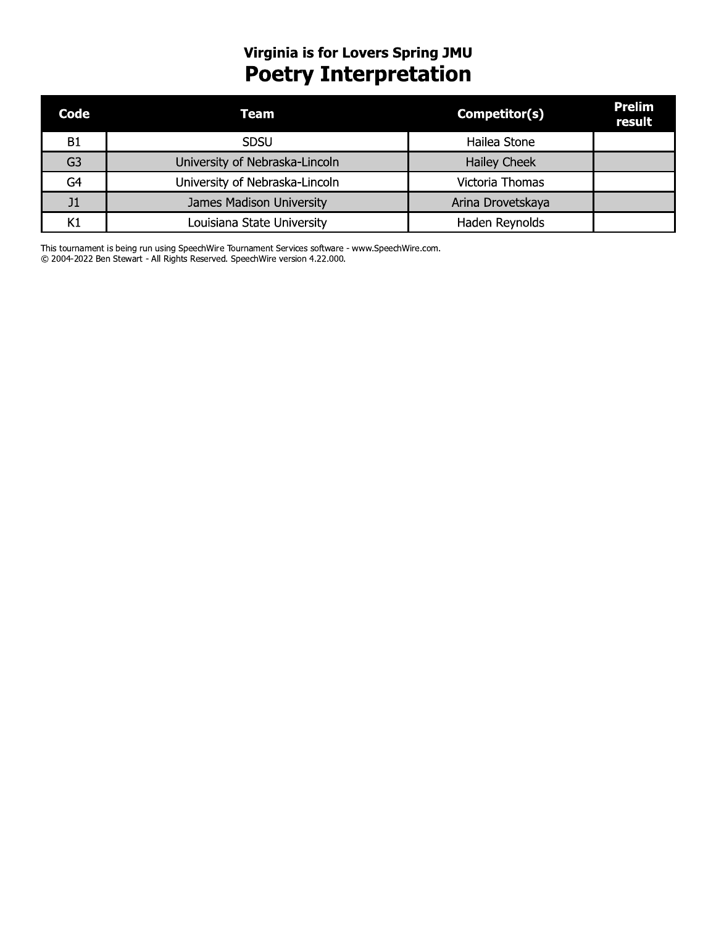# **Virginia is for Lovers Spring JMU<br>POETTY Interpretation**

| Code           | Team                           | Competitor(s)       | <b>Prelim</b><br>result |
|----------------|--------------------------------|---------------------|-------------------------|
| <b>B1</b>      | SDSU                           | Hailea Stone        |                         |
| G <sub>3</sub> | University of Nebraska-Lincoln | <b>Hailey Cheek</b> |                         |
| G4             | University of Nebraska-Lincoln | Victoria Thomas     |                         |
| J1             | James Madison University       | Arina Drovetskaya   |                         |
| Κ1             | Louisiana State University     | Haden Reynolds      |                         |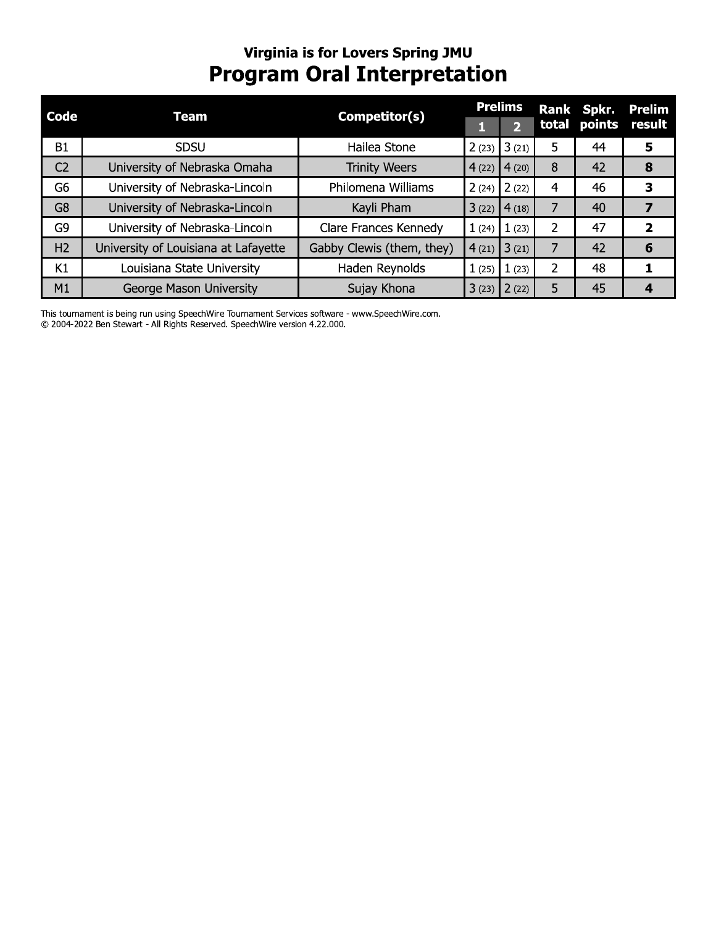## Virginia is for Lovers Spring JMU **Program Oral Interpretation**

| Code           | Team                                 | Competitor(s)             | <b>Prelims</b> |                 |   | <b>Rank Spkr.</b> | <b>Prelim</b>  |
|----------------|--------------------------------------|---------------------------|----------------|-----------------|---|-------------------|----------------|
|                |                                      |                           |                | $\mathbf{p}$    |   | total points      | result         |
| <b>B1</b>      | <b>SDSU</b>                          | Hailea Stone              | 2(23)          | 3(21)           | 5 | 44                | 5              |
| C <sub>2</sub> | University of Nebraska Omaha         | <b>Trinity Weers</b>      | 4(22)          | 4(20)           | 8 | 42                | 8              |
| G <sub>6</sub> | University of Nebraska-Lincoln       | Philomena Williams        | 2(24)          | 2(22)           | 4 | 46                | 3              |
| G <sub>8</sub> | University of Nebraska-Lincoln       | Kayli Pham                | 3(22)          | 4(18)           | 7 | 40                | 7              |
| G <sub>9</sub> | University of Nebraska-Lincoln       | Clare Frances Kennedy     | 1(24)          | 1(23)           | 2 | 47                | $\overline{2}$ |
| H <sub>2</sub> | University of Louisiana at Lafayette | Gabby Clewis (them, they) | 4(21)          | $\sqrt{3}$ (21) |   | 42                | 6              |
| K1             | Louisiana State University           | Haden Reynolds            | 1(25)          | 1(23)           | 2 | 48                |                |
| M1             | George Mason University              | Sujay Khona               | 3(23)          | 2(22)           | 5 | 45                | 4              |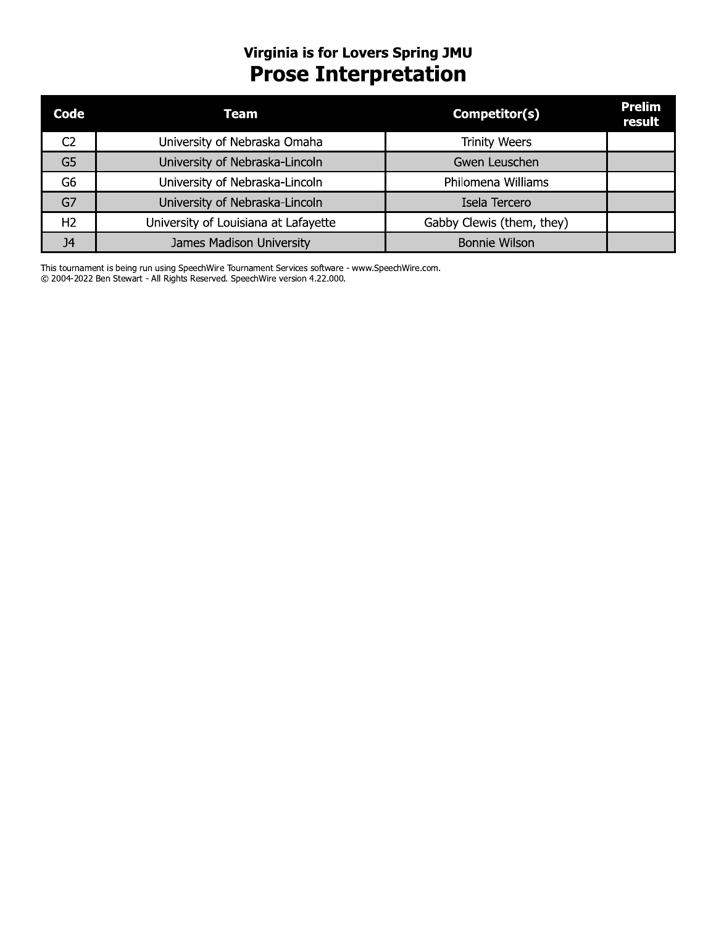## Virginia is for Lovers Spring JMU **Prose Interpretation**

| Code           | Team                                 | Competitor(s)             | <b>Prelim</b><br>result |
|----------------|--------------------------------------|---------------------------|-------------------------|
| C2             | University of Nebraska Omaha         | <b>Trinity Weers</b>      |                         |
| G <sub>5</sub> | University of Nebraska-Lincoln       | Gwen Leuschen             |                         |
| G <sub>6</sub> | University of Nebraska-Lincoln       | Philomena Williams        |                         |
| G7             | University of Nebraska-Lincoln       | Isela Tercero             |                         |
| H <sub>2</sub> | University of Louisiana at Lafayette | Gabby Clewis (them, they) |                         |
| J4             | James Madison University             | <b>Bonnie Wilson</b>      |                         |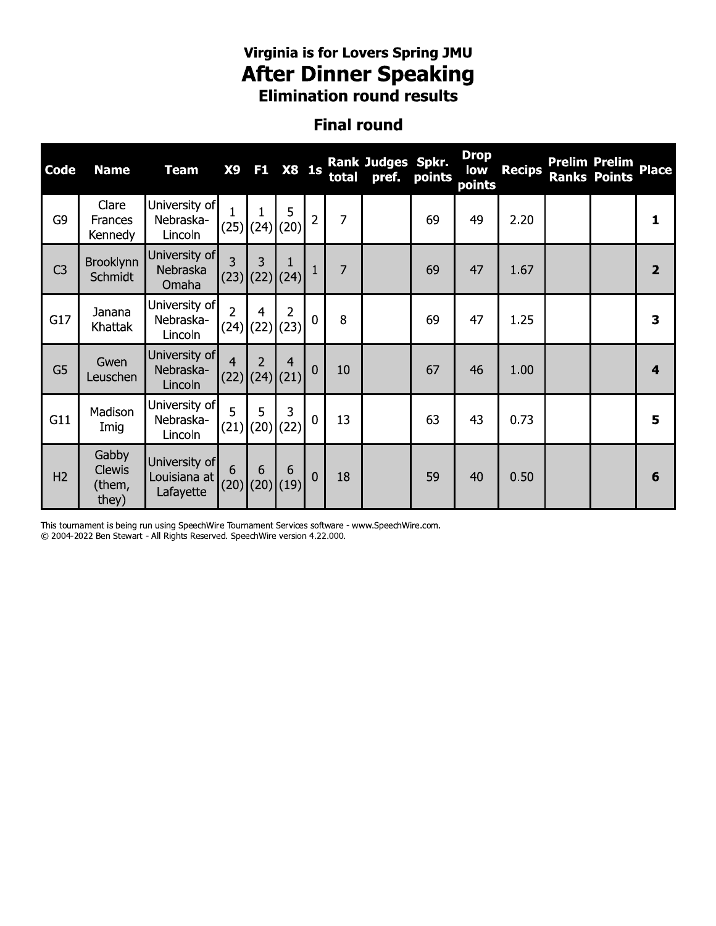# Virginia is for Lovers Spring JMU<br>**After Dinner Speaking**<br>Elimination round results

### **Final round**

| <b>Code</b>    | <b>Name</b>                               | <b>Team</b>                                | <b>X9</b>      | F <sub>1</sub>   | <b>X8 1s</b>                       |                | total          | Rank Judges Spkr.<br>pref. | points | <b>Drop</b><br>low<br>points | <b>Recips</b> | <b>Prelim Prelim</b><br><b>Ranks Points</b> | Place                   |
|----------------|-------------------------------------------|--------------------------------------------|----------------|------------------|------------------------------------|----------------|----------------|----------------------------|--------|------------------------------|---------------|---------------------------------------------|-------------------------|
| G9             | Clare<br>Frances<br>Kennedy               | University of<br>Nebraska-<br>Lincoln      | $\mathbf{1}$   | $(25)$ (24) (20) | 5                                  | $\overline{2}$ | $\overline{7}$ |                            | 69     | 49                           | 2.20          |                                             | 1                       |
| C <sub>3</sub> | <b>Brooklynn</b><br><b>Schmidt</b>        | University of<br>Nebraska<br>Omaha         | 3              | 3                | $(23)$ $(22)$ $(24)$               | $\mathbf{1}$   | $\overline{7}$ |                            | 69     | 47                           | 1.67          |                                             | $\overline{\mathbf{2}}$ |
| G17            | Janana<br>Khattak                         | University of<br>Nebraska-<br>Lincoln      | $\overline{2}$ | $\overline{4}$   | $\overline{2}$<br>$(24)$ (22) (23) | $\mathbf 0$    | 8              |                            | 69     | 47                           | 1.25          |                                             | 3                       |
| G <sub>5</sub> | Gwen<br>Leuschen                          | University of<br>Nebraska-<br>Lincoln      | $\overline{4}$ | $\overline{2}$   | 4<br> (22) (24) (21)               | $\mathbf 0$    | 10             |                            | 67     | 46                           | 1.00          |                                             | 4                       |
| G11            | Madison<br>Imig                           | University of<br>Nebraska-<br>Lincoln      | 5              | 5<br>$(21)$ (20) | 3<br>(22)                          | $\mathbf 0$    | 13             |                            | 63     | 43                           | 0.73          |                                             | 5                       |
| H <sub>2</sub> | Gabby<br><b>Clewis</b><br>(them,<br>they) | University of<br>Louisiana at<br>Lafayette | 6              | 6                | 6<br>$(20)$ $(20)$ $(19)$          | $\mathbf 0$    | 18             |                            | 59     | 40                           | 0.50          |                                             | 6                       |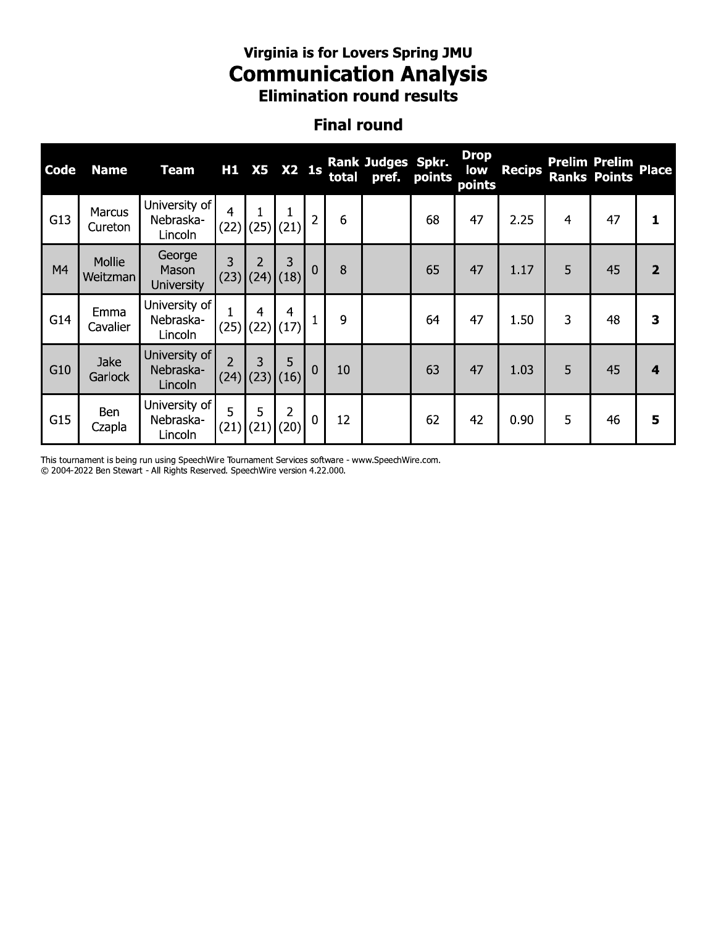## virginia is for Lovers Spring JMU Communication Analysis **Elimination round results**

## Finai round

|             |                                                                                                                                                                                 |                                       |                        |   |                  |              |       | <b>Virginia is for Lovers Spring JMU</b><br><b>Communication Analysis</b><br><b>Elimination round results</b> |        |                              |               |   |                                             |                         |  |
|-------------|---------------------------------------------------------------------------------------------------------------------------------------------------------------------------------|---------------------------------------|------------------------|---|------------------|--------------|-------|---------------------------------------------------------------------------------------------------------------|--------|------------------------------|---------------|---|---------------------------------------------|-------------------------|--|
|             |                                                                                                                                                                                 |                                       |                        |   |                  |              |       | <b>Final round</b>                                                                                            |        |                              |               |   |                                             |                         |  |
| <b>Code</b> | <b>Name</b>                                                                                                                                                                     | <b>Team</b>                           | H1                     |   | X5 X2 1s         |              | total | Rank Judges Spkr.<br>pref.                                                                                    | points | <b>Drop</b><br>low<br>points | <b>Recips</b> |   | <b>Prelim Prelim</b><br><b>Ranks Points</b> | <b>Place</b>            |  |
| G13         | University of<br>4<br>Marcus<br>$\mathbf 1$<br>1<br>$\overline{2}$<br>6<br>68<br>47<br>47<br>Nebraska-<br>2.25<br>4<br>1<br>$(25)$ (21)<br>(22)<br>Cureton<br>Lincoln<br>George |                                       |                        |   |                  |              |       |                                                                                                               |        |                              |               |   |                                             |                         |  |
| M4          | 3<br>Mollie<br>3<br>$\mathcal{P}$<br>$\mathbf 0$<br>8<br>5<br>65<br>45<br>Mason<br>47<br>1.17<br>(23)<br>$(24)$ (18)<br>Weitzman<br><b>University</b>                           |                                       |                        |   |                  |              |       |                                                                                                               |        |                              |               |   |                                             | $\overline{2}$          |  |
| G14         | Emma<br>Cavalier                                                                                                                                                                | University of<br>Nebraska-<br>Lincoln | $\mathbf{1}$<br>(25)   | 4 | 4<br>$(22)$ (17) | $\mathbf{1}$ | 9     |                                                                                                               | 64     | 47                           | 1.50          | 3 | 48                                          | 3                       |  |
| G10         | Jake<br>Garlock                                                                                                                                                                 | University of<br>Nebraska-<br>Lincoln | $\overline{2}$<br>(24) | 3 | 5<br>$(23)$ (16) | $\mathbf 0$  | 10    |                                                                                                               | 63     | 47                           | 1.03          | 5 | 45                                          | $\overline{\mathbf{4}}$ |  |
| G15         | Ben<br>Czapla                                                                                                                                                                   | University of<br>Nebraska-<br>Lincoln | 5<br>(21)              | 5 | 2<br>$(21)$ (20) | $\mathbf 0$  | 12    |                                                                                                               | 62     | 42                           | 0.90          | 5 | 46                                          | 5                       |  |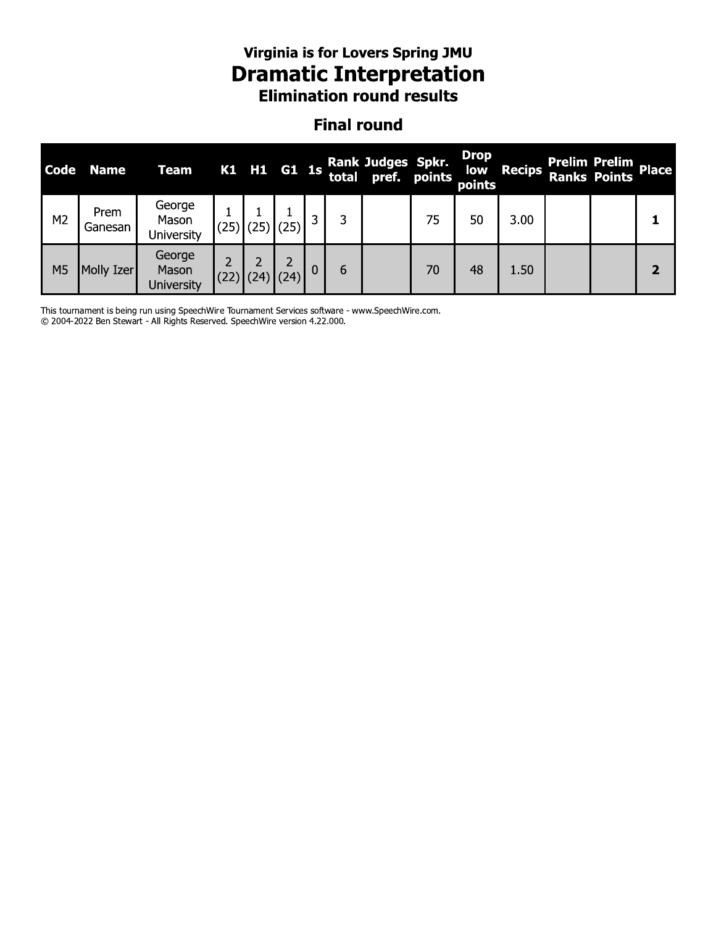# Virginia is for Lovers Spring JMU **Dramatic Interpretation**<br>Elimination round results

### **Final round**

| <b>Code</b>    | <b>Name</b>     | <b>Team</b>                   |      |      |                 |             |   | K1 H1 G1 1s Rank Judges Spkr. |    | <b>Drop</b><br>points | low Recips | Prelim Prelim<br>Ranks Points Place |   |
|----------------|-----------------|-------------------------------|------|------|-----------------|-------------|---|-------------------------------|----|-----------------------|------------|-------------------------------------|---|
| M <sub>2</sub> | Prem<br>Ganesan | George<br>Mason<br>University | (25) | (25) | $\overline{25}$ | 3           | 3 |                               | 75 | 50                    | 3.00       |                                     |   |
| M <sub>5</sub> | Molly Izer      | George<br>Mason<br>University | (22) | (24) | (24)            | $\mathbf 0$ | 6 |                               | 70 | 48                    | 1.50       |                                     | 2 |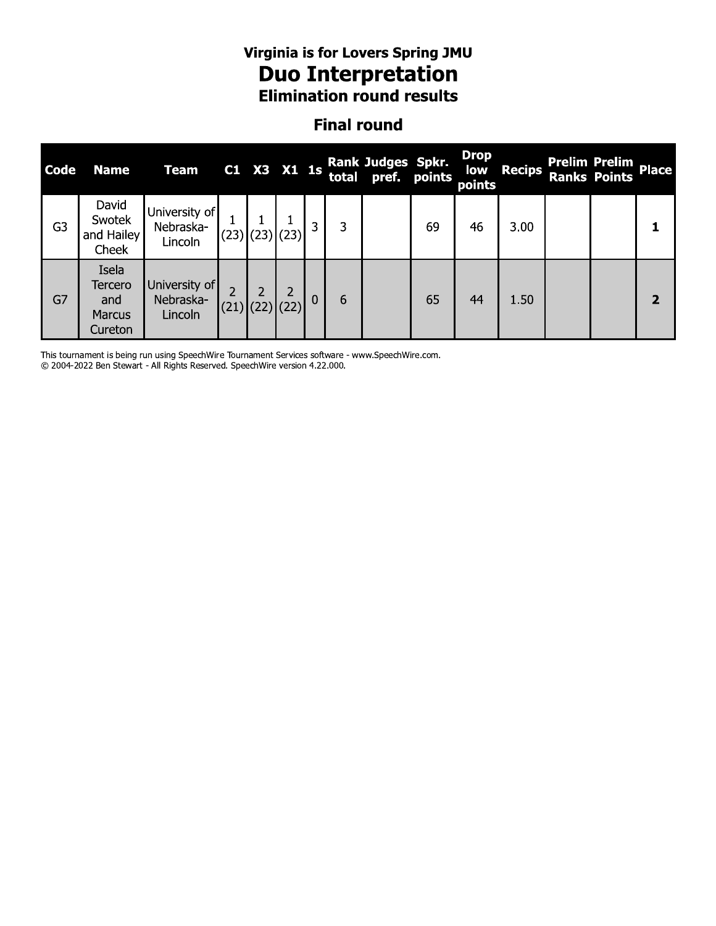# Virginia is for Lovers Spring JMU **Duo Interpretation**<br>Elimination round results

### **Final round**

| <b>Code</b>    | <b>Name</b>                                         | <b>Team</b>                           |             | C1 X3 X1 1s |              |   | Rank Judges Spkr.<br>total pref. points |    | <b>Drop</b><br>low<br>points | <b>Recips</b> | <b>Prelim Prelim</b><br><b>Ranks Points</b> | <b>Place</b>            |
|----------------|-----------------------------------------------------|---------------------------------------|-------------|-------------|--------------|---|-----------------------------------------|----|------------------------------|---------------|---------------------------------------------|-------------------------|
| G <sub>3</sub> | David<br>Swotek<br>and Hailey<br>Cheek              | University of<br>Nebraska-<br>Lincoln | $(23)$ (23) | (23)        | 3            | 3 |                                         | 69 | 46                           | 3.00          |                                             |                         |
| G7             | Isela<br>Tercero<br>and<br><b>Marcus</b><br>Cureton | University of<br>Nebraska-<br>Lincoln | $(21)$ (22) |             | $\mathbf{0}$ | 6 |                                         | 65 | 44                           | 1.50          |                                             | $\overline{\mathbf{z}}$ |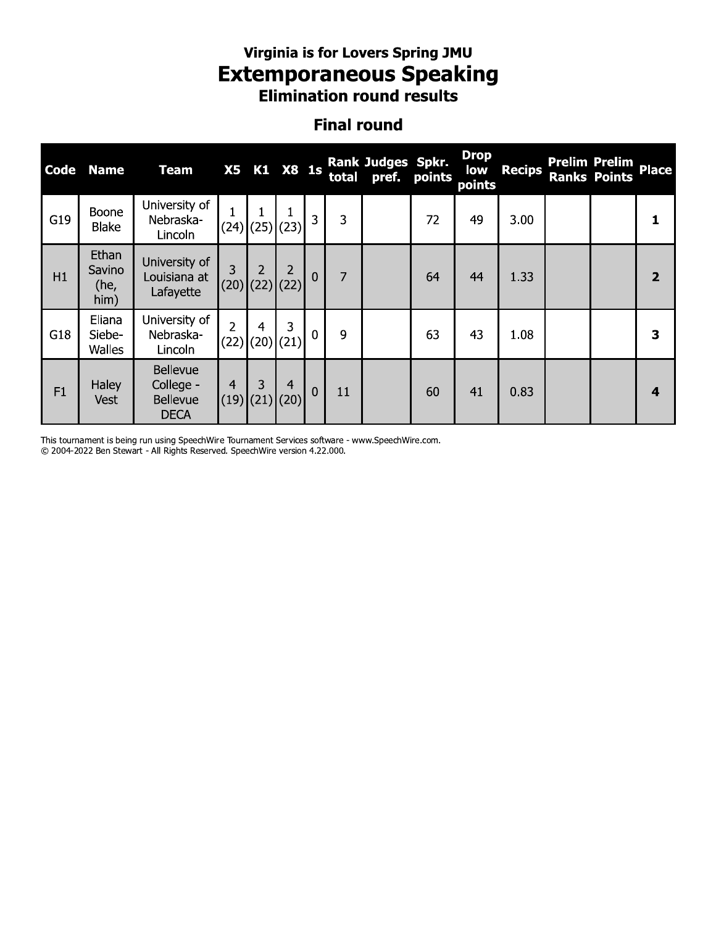## virginia is for Lovers Spring JMU Extemporaneous speaking **Elimination round results**

## Finai round

|             |                                                                                                                                                                          |                                                                |                        |                           |                             |                |       | Virginia is for Lovers Spring JMU<br><b>Extemporaneous Speaking</b><br><b>Elimination round results</b> |        |                              |               |  |                                             |                         |  |
|-------------|--------------------------------------------------------------------------------------------------------------------------------------------------------------------------|----------------------------------------------------------------|------------------------|---------------------------|-----------------------------|----------------|-------|---------------------------------------------------------------------------------------------------------|--------|------------------------------|---------------|--|---------------------------------------------|-------------------------|--|
|             |                                                                                                                                                                          |                                                                |                        |                           |                             |                |       | <b>Final round</b>                                                                                      |        |                              |               |  |                                             |                         |  |
| <b>Code</b> | <b>Name</b>                                                                                                                                                              | <b>Team</b>                                                    | <b>X5</b>              |                           | K1 X8 1s                    |                | total | Rank Judges Spkr.<br>pref.                                                                              | points | <b>Drop</b><br>low<br>points | <b>Recips</b> |  | <b>Prelim Prelim</b><br><b>Ranks Points</b> | <b>Place</b>            |  |
| G19         | University of<br>$\mathbf{1}$<br>1<br>Boone<br>1<br>$\overline{3}$<br>3<br>72<br>3.00<br>Nebraska-<br>49<br>1<br> (25) (23) <br>(24)<br><b>Blake</b><br>Lincoln<br>Ethan |                                                                |                        |                           |                             |                |       |                                                                                                         |        |                              |               |  |                                             |                         |  |
| H1          | Savino<br>(he,<br>him)                                                                                                                                                   | University of<br>Louisiana at<br>Lafayette                     | 3<br>(20)              | $\overline{2}$            | 2<br>$(22)$ (22)            | $\overline{0}$ | 7     |                                                                                                         | 64     | 44                           | 1.33          |  |                                             | $\overline{2}$          |  |
| G18         | Eliana<br>Siebe-<br>Walles                                                                                                                                               | University of<br>Nebraska-<br>Lincoln                          | $\overline{2}$<br>(22) | 4                         | 3<br>$(20)$ <sup>(21)</sup> | $\mathbf 0$    | 9     |                                                                                                         | 63     | 43                           | 1.08          |  |                                             | 3                       |  |
| F1          | Haley<br>Vest                                                                                                                                                            | <b>Bellevue</b><br>College -<br><b>Bellevue</b><br><b>DECA</b> | 4                      | 3<br>$(19)$ $(21)$ $(20)$ | 4                           | $\overline{0}$ | 11    |                                                                                                         | 60     | 41                           | 0.83          |  |                                             | $\overline{\mathbf{A}}$ |  |

I his tournament is being run using Speechwire Tournament Services software - www.Speechwire.com.

@ 2004-2022 Ben Stewart - All Rights Reserved. Speechwire version 4.22.000.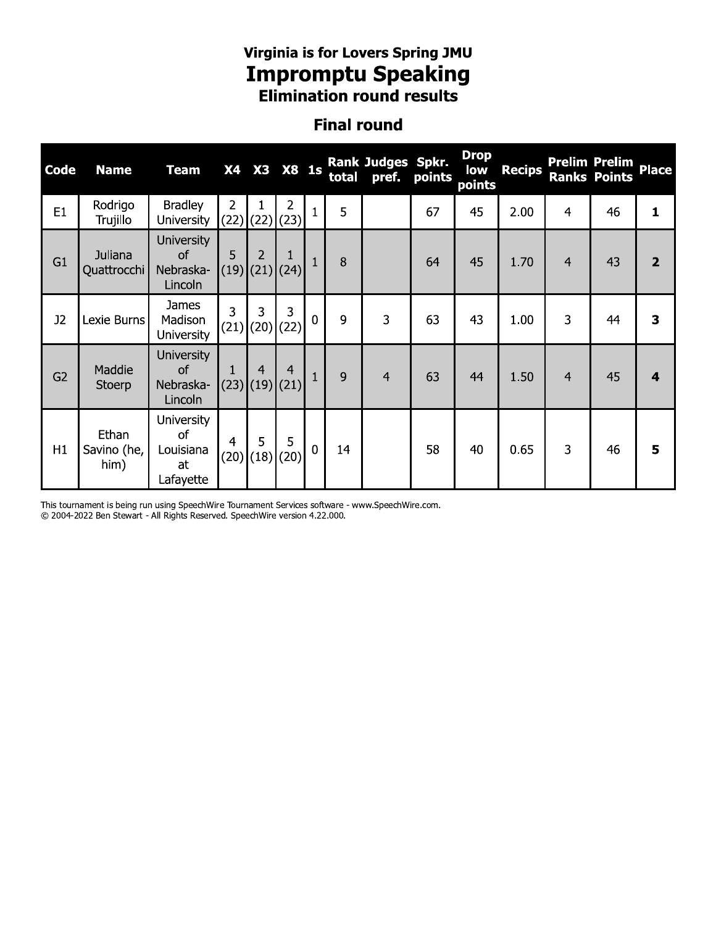# Virginia is for Lovers Spring JMU<br>**Impromptu Speaking**<br>Elimination round results

### **Final round**

| Code           | <b>Name</b>                  | <b>Team</b>                                             | <b>X4</b>              | X3                              | <b>X8 1s</b>           |                | total | <b>Rank Judges Spkr.</b><br>pref. | points | <b>Drop</b><br>low<br>points | <b>Recips</b> |                | <b>Prelim Prelim</b><br><b>Ranks Points</b> | <b>Place</b>   |
|----------------|------------------------------|---------------------------------------------------------|------------------------|---------------------------------|------------------------|----------------|-------|-----------------------------------|--------|------------------------------|---------------|----------------|---------------------------------------------|----------------|
| E1             | Rodrigo<br>Trujillo          | <b>Bradley</b><br><b>University</b>                     | $\overline{2}$<br>(22) | $\vert$ (22) $\vert$            | $\overline{2}$<br>(23) | $\mathbf{1}$   | 5     |                                   | 67     | 45                           | 2.00          | 4              | 46                                          | 1              |
| G <sub>1</sub> | Juliana<br>Quattrocchi       | <b>University</b><br><b>of</b><br>Nebraska-<br>Lincoln  | 5                      | $\overline{2}$<br>$(19)$ $(21)$ | $\mathbf{1}$<br>(24)   | $\mathbf{1}$   | 8     |                                   | 64     | 45                           | 1.70          | $\overline{4}$ | 43                                          | $\overline{2}$ |
| J2             | Lexie Burns                  | <b>James</b><br>Madison<br><b>University</b>            | 3                      | 3                               | 3<br>$(21)$ (20) (22)  | $\mathbf 0$    | 9     | 3                                 | 63     | 43                           | 1.00          | 3              | 44                                          | 3              |
| G2             | Maddie<br>Stoerp             | <b>University</b><br><b>of</b><br>Nebraska-<br>Lincoln  | 1                      | $\overline{4}$<br>$(23)$ $(19)$ | $\overline{4}$<br>(21) | $\mathbf{1}$   | 9     | $\overline{4}$                    | 63     | 44                           | 1.50          | 4              | 45                                          | 4              |
| H1             | Ethan<br>Savino (he,<br>him) | <b>University</b><br>of<br>Louisiana<br>at<br>Lafayette | $\overline{4}$         | 5<br>$(20)$ (18)                | 5<br>(20)              | $\overline{0}$ | 14    |                                   | 58     | 40                           | 0.65          | 3              | 46                                          | 5              |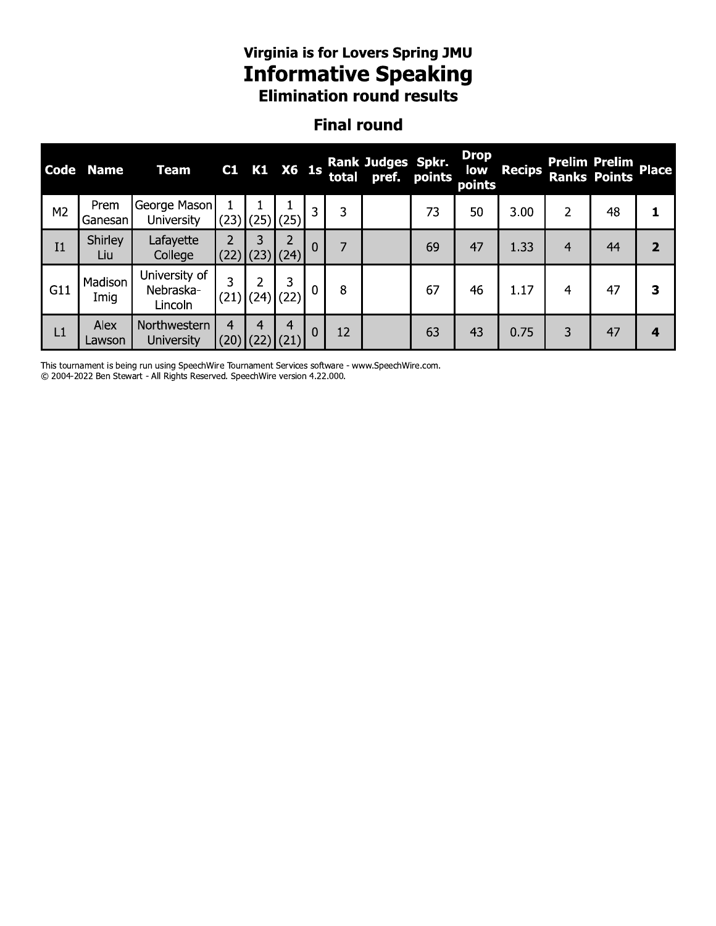## virginia is for Lovers Spring JMU **Informative Speaking Elimination round results**

## Finai round

|                |                 |                                       |                        |                        |                       |                |                | Virginia is for Lovers Spring JMU<br><b>Informative Speaking</b><br><b>Elimination round results</b> |    |                                     |               |   |                                             |                |
|----------------|-----------------|---------------------------------------|------------------------|------------------------|-----------------------|----------------|----------------|------------------------------------------------------------------------------------------------------|----|-------------------------------------|---------------|---|---------------------------------------------|----------------|
|                |                 |                                       |                        |                        |                       |                |                | <b>Final round</b>                                                                                   |    |                                     |               |   |                                             |                |
| Code           | <b>Name</b>     | <b>Team</b>                           |                        |                        | C1 K1 X6 1s           |                |                | <b>Rank Judges Spkr.</b><br>total pref. points                                                       |    | <b>Drop</b><br><b>low</b><br>points | <b>Recips</b> |   | <b>Prelim Prelim</b><br><b>Ranks Points</b> | <b>Place</b>   |
| M <sub>2</sub> | Prem<br>Ganesan | George Mason<br>University            |                        |                        | $(23)$ (25) (25)      | $\overline{3}$ | 3              |                                                                                                      | 73 | 50                                  | 3.00          | 2 | 48                                          | 1              |
| I <sub>1</sub> | Shirley<br>Liu  | Lafayette<br>College                  | $\mathcal{P}$          | 3<br>$(22)$ $(23)$     | 2<br>(24)             | $\mathbf{0}$   | $\overline{7}$ |                                                                                                      | 69 | 47                                  | 1.33          | 4 | 44                                          | $\overline{2}$ |
| G11            | Madison<br>Imig | University of<br>Nebraska-<br>Lincoln | 3                      | 2                      | 3<br>$(21)$ (24) (22) | $\mathbf{0}$   | 8              |                                                                                                      | 67 | 46                                  | 1.17          | 4 | 47                                          | 3              |
| L1             | Alex<br>Lawson  | Northwestern<br><b>University</b>     | $\overline{4}$<br>(20) | $\overline{4}$<br>(22) | (21)                  | $\mathbf{0}$   | 12             |                                                                                                      | 63 | 43                                  | 0.75          | 3 | 47                                          | 4              |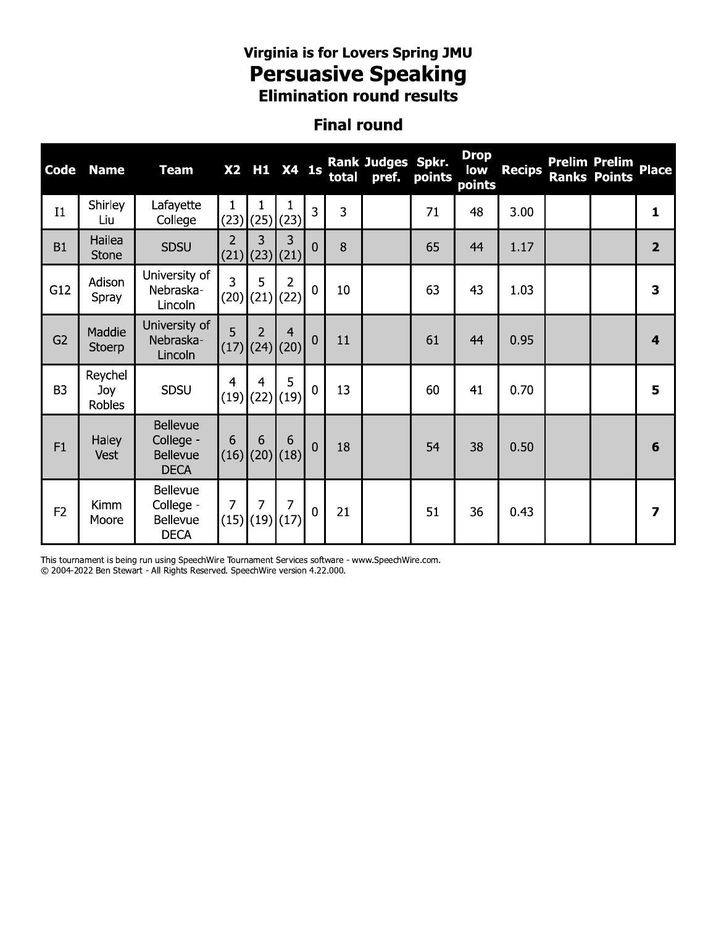# Virginia is for Lovers Spring JMU<br>**Persuasive Speaking**<br>Elimination round results

#### **Final round**

| <b>Code</b>    | <b>Name</b>              | <b>Team</b>                                                    |                | X2 H1 X4 1s                        |                |                | total | Rank Judges Spkr.<br>pref. | points | <b>Drop</b><br>low<br>points | <b>Recips</b> | <b>Prelim Prelim</b><br><b>Ranks Points</b> | <b>Place</b>            |
|----------------|--------------------------|----------------------------------------------------------------|----------------|------------------------------------|----------------|----------------|-------|----------------------------|--------|------------------------------|---------------|---------------------------------------------|-------------------------|
| I <sub>1</sub> | Shirley<br>Liu           | Lafayette<br>College                                           | 1              | $(23)$ (25)                        | (23)           | 3              | 3     |                            | 71     | 48                           | 3.00          |                                             | 1                       |
| <b>B1</b>      | Hailea<br><b>Stone</b>   | <b>SDSU</b>                                                    | 2              | 3<br>$(21)$ (23)(21)               | 3              | $\overline{0}$ | 8     |                            | 65     | 44                           | 1.17          |                                             | $\overline{2}$          |
| G12            | Adison<br>Spray          | University of<br>Nebraska-<br>Lincoln                          | 3<br>(20)      | 5<br>(21)                          | 2<br>(22)      | $\mathbf 0$    | 10    |                            | 63     | 43                           | 1.03          |                                             | 3                       |
| G2             | Maddie<br>Stoerp         | University of<br>Nebraska-<br>Lincoln                          | 5              | 2<br> (17) (24) (20)               | $\overline{4}$ | $\mathbf 0$    | 11    |                            | 61     | 44                           | 0.95          |                                             | $\overline{\mathbf{4}}$ |
| B <sub>3</sub> | Reychel<br>Joy<br>Robles | <b>SDSU</b>                                                    | $\overline{4}$ | $\overline{4}$<br>$(19)$ (22) (19) | 5              | $\overline{0}$ | 13    |                            | 60     | 41                           | 0.70          |                                             | 5                       |
| F1             | <b>Haley</b><br>Vest     | <b>Bellevue</b><br>College -<br><b>Bellevue</b><br><b>DECA</b> | 6              | 6<br>$(16)$ (20) (18)              | 6              | $\overline{0}$ | 18    |                            | 54     | 38                           | 0.50          |                                             | 6                       |
| F <sub>2</sub> | Kimm<br>Moore            | Bellevue<br>College -<br>Bellevue<br><b>DECA</b>               | 7              | 7<br>$(15)$ $(19)$                 | 7<br>(17)      | $\mathbf 0$    | 21    |                            | 51     | 36                           | 0.43          |                                             | 7                       |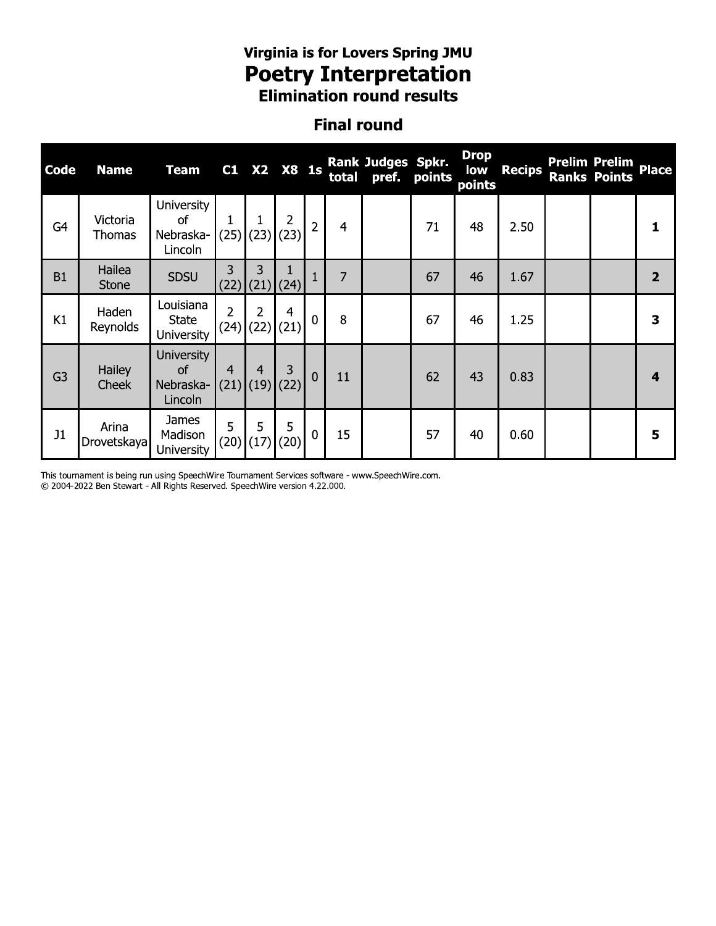# Virginia is for Lovers Spring JMU **Poetry Interpretation**<br>Elimination round results

### **Final round**

| <b>Code</b>    | <b>Name</b>               | <b>Team</b>                                     | C1                     |           | X2 X8 1s         |                |                | <b>Rank Judges Spkr.</b><br>total pref. points |    | <b>Drop</b><br>low<br>points | <b>Recips</b> | <b>Prelim Prelim</b><br><b>Ranks Points</b> | <b>Place</b>     |
|----------------|---------------------------|-------------------------------------------------|------------------------|-----------|------------------|----------------|----------------|------------------------------------------------|----|------------------------------|---------------|---------------------------------------------|------------------|
| G <sub>4</sub> | Victoria<br><b>Thomas</b> | <b>University</b><br>of<br>Nebraska-<br>Lincoln | (25)                   | (23)      | 2<br>(23)        | $\overline{2}$ | 4              |                                                | 71 | 48                           | 2.50          |                                             |                  |
| <b>B1</b>      | Hailea<br><b>Stone</b>    | <b>SDSU</b>                                     | 3<br>(22)              | 3<br>(21) | (24)             | $\mathbf{1}$   | $\overline{7}$ |                                                | 67 | 46                           | 1.67          |                                             | $\overline{2}$   |
| K1             | Haden<br>Reynolds         | Louisiana<br><b>State</b><br><b>University</b>  | $\overline{2}$<br>(24) | 2         | 4<br>$(22)$ (21) | $\mathbf{0}$   | 8              |                                                | 67 | 46                           | 1.25          |                                             | 3                |
| G <sub>3</sub> | Hailey<br>Cheek           | <b>University</b><br>of<br>Nebraska-<br>Lincoln | 4<br>(21)              | 4<br>(19) | 3<br>(22)        | $\mathbf 0$    | 11             |                                                | 62 | 43                           | 0.83          |                                             | $\boldsymbol{4}$ |
| J1             | Arina<br>Drovetskaya      | James<br>Madison<br><b>University</b>           | 5<br>(20)              | 5<br>(17) | 5<br>(20)        | $\mathbf 0$    | 15             |                                                | 57 | 40                           | 0.60          |                                             | 5                |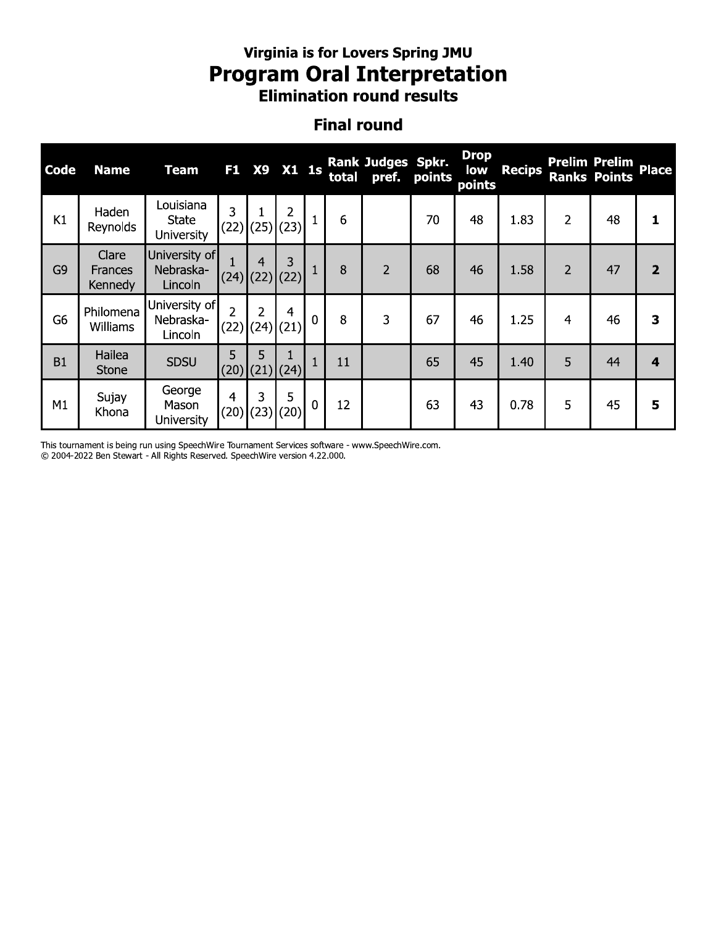# Virginia is for Lovers Spring JMU **Program Oral Interpretation**<br>Elimination round results

#### **Final round**

| Code           | <b>Name</b>                 | <b>Team</b>                                    | F <sub>1</sub>         | <b>X9</b> | $X1$ 1s                       |              | total | <b>Rank Judges Spkr.</b><br>pref. | points | <b>Drop</b><br>low<br>points | <b>Recips</b> |                | <b>Prelim Prelim</b><br><b>Ranks Points</b> | <b>Place</b>   |
|----------------|-----------------------------|------------------------------------------------|------------------------|-----------|-------------------------------|--------------|-------|-----------------------------------|--------|------------------------------|---------------|----------------|---------------------------------------------|----------------|
| K1             | Haden<br>Reynolds           | Louisiana<br><b>State</b><br><b>University</b> | 3<br>(22)              |           | 2<br>$(25)$ (23)              |              | 6     |                                   | 70     | 48                           | 1.83          | 2              | 48                                          |                |
| G <sub>9</sub> | Clare<br>Frances<br>Kennedy | University of<br>Nebraska-<br>Lincoln          | (24)                   | 4         | 3<br>$(22)$ (22)              |              | 8     | $\overline{2}$                    | 68     | 46                           | 1.58          | $\overline{2}$ | 47                                          | $\overline{2}$ |
| G <sub>6</sub> | Philomena<br>Williams       | University of<br>Nebraska-<br>Lincoln          | $\overline{2}$<br>(22) | 2         | $\overline{4}$<br>$(24)$ (21) | $\mathbf 0$  | 8     | 3                                 | 67     | 46                           | 1.25          | $\overline{4}$ | 46                                          | 3              |
| <b>B1</b>      | Hailea<br><b>Stone</b>      | <b>SDSU</b>                                    | 5<br>(20)              | 5         | $(21)$ $(24)$                 | $\mathbf{1}$ | 11    |                                   | 65     | 45                           | 1.40          | 5              | 44                                          | 4              |
| M1             | Sujay<br>Khona              | George<br>Mason<br><b>University</b>           | 4<br>(20)              | 3<br>(23) | 5<br>(20)                     | $\mathbf 0$  | 12    |                                   | 63     | 43                           | 0.78          | 5              | 45                                          | 5              |